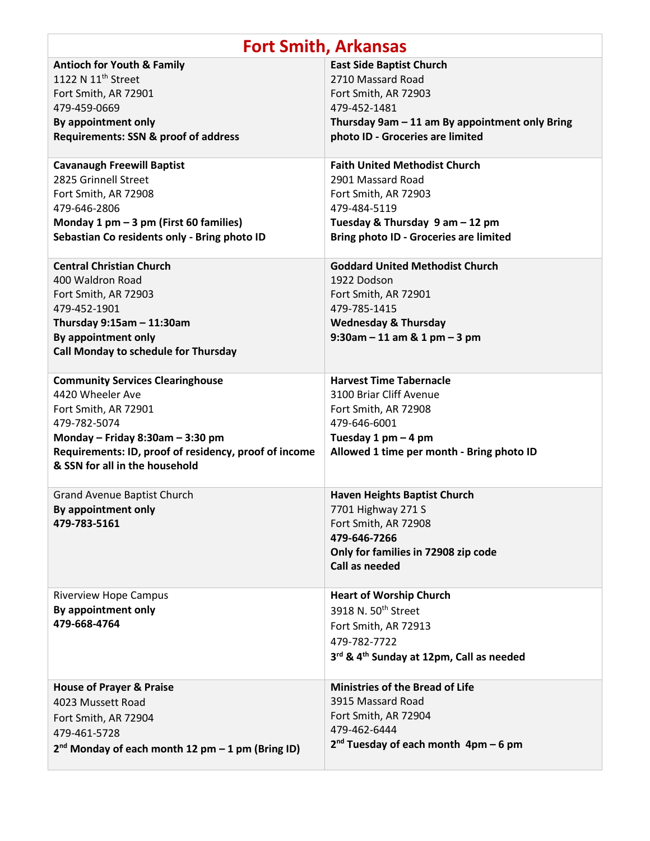| <b>Fort Smith, Arkansas</b>                                                                                                                                                                                                        |                                                                                                                                                                                       |
|------------------------------------------------------------------------------------------------------------------------------------------------------------------------------------------------------------------------------------|---------------------------------------------------------------------------------------------------------------------------------------------------------------------------------------|
| <b>Antioch for Youth &amp; Family</b><br>1122 N 11 <sup>th</sup> Street<br>Fort Smith, AR 72901<br>479-459-0669<br>By appointment only<br><b>Requirements: SSN &amp; proof of address</b>                                          | <b>East Side Baptist Church</b><br>2710 Massard Road<br>Fort Smith, AR 72903<br>479-452-1481<br>Thursday 9am - 11 am By appointment only Bring<br>photo ID - Groceries are limited    |
| <b>Cavanaugh Freewill Baptist</b><br>2825 Grinnell Street<br>Fort Smith, AR 72908<br>479-646-2806<br>Monday 1 pm - 3 pm (First 60 families)<br>Sebastian Co residents only - Bring photo ID                                        | <b>Faith United Methodist Church</b><br>2901 Massard Road<br>Fort Smith, AR 72903<br>479-484-5119<br>Tuesday & Thursday 9 am - 12 pm<br><b>Bring photo ID - Groceries are limited</b> |
| <b>Central Christian Church</b><br>400 Waldron Road<br>Fort Smith, AR 72903<br>479-452-1901<br>Thursday $9:15am - 11:30am$<br>By appointment only<br>Call Monday to schedule for Thursday                                          | <b>Goddard United Methodist Church</b><br>1922 Dodson<br>Fort Smith, AR 72901<br>479-785-1415<br><b>Wednesday &amp; Thursday</b><br>$9:30$ am - 11 am & 1 pm - 3 pm                   |
| <b>Community Services Clearinghouse</b><br>4420 Wheeler Ave<br>Fort Smith, AR 72901<br>479-782-5074<br>Monday - Friday 8:30am - 3:30 pm<br>Requirements: ID, proof of residency, proof of income<br>& SSN for all in the household | <b>Harvest Time Tabernacle</b><br>3100 Briar Cliff Avenue<br>Fort Smith, AR 72908<br>479-646-6001<br>Tuesday 1 pm $-$ 4 pm<br>Allowed 1 time per month - Bring photo ID               |
| <b>Grand Avenue Baptist Church</b><br>By appointment only<br>479-783-5161                                                                                                                                                          | <b>Haven Heights Baptist Church</b><br>7701 Highway 271 S<br>Fort Smith, AR 72908<br>479-646-7266<br>Only for families in 72908 zip code<br>Call as needed                            |
| <b>Riverview Hope Campus</b><br>By appointment only<br>479-668-4764                                                                                                                                                                | <b>Heart of Worship Church</b><br>3918 N. 50 <sup>th</sup> Street<br>Fort Smith, AR 72913<br>479-782-7722<br>3rd & 4th Sunday at 12pm, Call as needed                                 |
| <b>House of Prayer &amp; Praise</b><br>4023 Mussett Road<br>Fort Smith, AR 72904<br>479-461-5728<br>$2^{nd}$ Monday of each month 12 pm $-1$ pm (Bring ID)                                                                         | <b>Ministries of the Bread of Life</b><br>3915 Massard Road<br>Fort Smith, AR 72904<br>479-462-6444<br>$2nd$ Tuesday of each month $4pm - 6$ pm                                       |